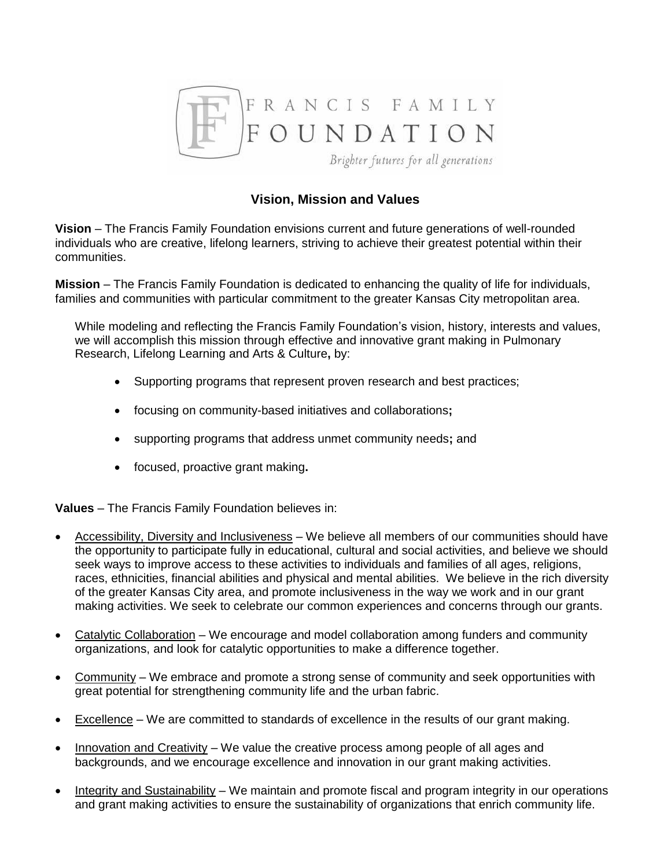

# **Vision, Mission and Values**

**Vision** – The Francis Family Foundation envisions current and future generations of well-rounded individuals who are creative, lifelong learners, striving to achieve their greatest potential within their communities.

**Mission** – The Francis Family Foundation is dedicated to enhancing the quality of life for individuals, families and communities with particular commitment to the greater Kansas City metropolitan area.

While modeling and reflecting the Francis Family Foundation's vision, history, interests and values, we will accomplish this mission through effective and innovative grant making in Pulmonary Research, Lifelong Learning and Arts & Culture**,** by:

- Supporting programs that represent proven research and best practices;
- focusing on community-based initiatives and collaborations**;**
- supporting programs that address unmet community needs**;** and
- focused, proactive grant making**.**

**Values** – The Francis Family Foundation believes in:

- Accessibility, Diversity and Inclusiveness We believe all members of our communities should have the opportunity to participate fully in educational, cultural and social activities, and believe we should seek ways to improve access to these activities to individuals and families of all ages, religions, races, ethnicities, financial abilities and physical and mental abilities. We believe in the rich diversity of the greater Kansas City area, and promote inclusiveness in the way we work and in our grant making activities. We seek to celebrate our common experiences and concerns through our grants.
- Catalytic Collaboration We encourage and model collaboration among funders and community organizations, and look for catalytic opportunities to make a difference together.
- Community We embrace and promote a strong sense of community and seek opportunities with great potential for strengthening community life and the urban fabric.
- Excellence We are committed to standards of excellence in the results of our grant making.
- $\bullet$  Innovation and Creativity We value the creative process among people of all ages and backgrounds, and we encourage excellence and innovation in our grant making activities.
- Integrity and Sustainability We maintain and promote fiscal and program integrity in our operations and grant making activities to ensure the sustainability of organizations that enrich community life.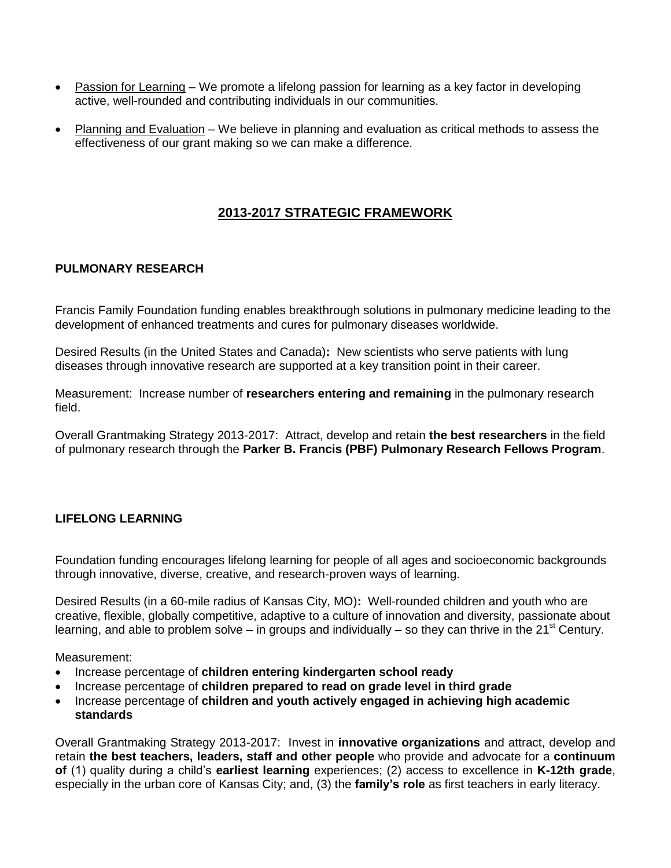- Passion for Learning We promote a lifelong passion for learning as a key factor in developing active, well-rounded and contributing individuals in our communities.
- Planning and Evaluation We believe in planning and evaluation as critical methods to assess the effectiveness of our grant making so we can make a difference.

## **2013-2017 STRATEGIC FRAMEWORK**

#### **PULMONARY RESEARCH**

Francis Family Foundation funding enables breakthrough solutions in pulmonary medicine leading to the development of enhanced treatments and cures for pulmonary diseases worldwide.

Desired Results (in the United States and Canada)**:** New scientists who serve patients with lung diseases through innovative research are supported at a key transition point in their career.

Measurement: Increase number of **researchers entering and remaining** in the pulmonary research field.

Overall Grantmaking Strategy 2013-2017:Attract, develop and retain **the best researchers** in the field of pulmonary research through the **Parker B. Francis (PBF) Pulmonary Research Fellows Program**.

## **LIFELONG LEARNING**

Foundation funding encourages lifelong learning for people of all ages and socioeconomic backgrounds through innovative, diverse, creative, and research-proven ways of learning.

Desired Results (in a 60-mile radius of Kansas City, MO)**:** Well-rounded children and youth who are creative, flexible, globally competitive, adaptive to a culture of innovation and diversity, passionate about learning, and able to problem solve – in groups and individually – so they can thrive in the 21<sup>st</sup> Century.

Measurement:

- Increase percentage of **children entering kindergarten school ready**
- Increase percentage of **children prepared to read on grade level in third grade**
- Increase percentage of **children and youth actively engaged in achieving high academic standards**

Overall Grantmaking Strategy 2013-2017:Invest in **innovative organizations** and attract, develop and retain **the best teachers, leaders, staff and other people** who provide and advocate for a **continuum of** (1) quality during a child's **earliest learning** experiences; (2) access to excellence in **K-12th grade**, especially in the urban core of Kansas City; and, (3) the **family's role** as first teachers in early literacy.